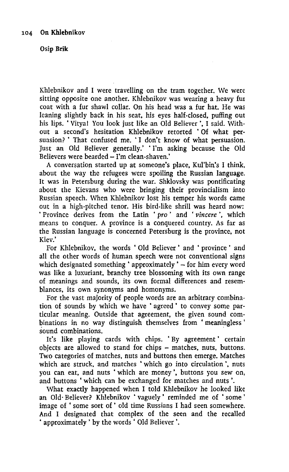Osip Brik

Khlebnikov and I were travelling on the tram together. We were sitting opposite one another. Khlebnikov was wearing a heavy fur coat with a fur shawl collar. On his head was a fur hat. He was leaning slightly back in his seat, his eyes half-closed, puffing out his lips. ' Vitya! You look just like an Old Believer', I said. Without a second's hesitation Khlebnikov retorted ' Of what persuasion? ' That confused me. ' I don't know of what persuasion. Just an Old Believer generally.' 'I'm asking because the Old Believers were bearded — I'm clean-shaven.'

A conversation started up at someone's place, Kul'bin's I think, about the way the refugees were spoiling the Russian language. It was in Petersburg during the war. Shklovsky was pontificating about the Kievans who were bringing their provincialism into Russian speech. When Khlebnikov lost his temper his words came out in a high-pitched tenor. His bird-like shrill was heard now: ' Province derives from the Latin ' *pro'* and ' *vincere ',* which means to conquer. A province is a conquered country. As far as the Russian language is concerned Petersburg is the province, not Kiev.'

For Khlebnikov, the words ' Old Believer' and ' province' and all the other words of human speech were not conventional signs which designated something 'approximately' – for him every word was like a luxuriant, branchy tree blossoming with its own range of meanings and sounds, its own formal differences and resemblances, its own synonyms and homonyms.

For the vast majority of people words are an arbitrary combination of sounds by which we have ' agreed' to convey some particular meaning. Outside that agreement, the given sound combinations in no way distinguish themselves from ' meaningless' sound combinations.

It's like playing cards with chips. ' By agreement' certain objects are allowed to stand for chips - matches, nuts, buttons. Two categories of matches, nuts and buttons then emerge. Matches which are struck, and matches 'which go into circulation', nuts you can eat, and nuts ' which are money', buttons you sew on, and buttons ' which can be exchanged for matches and nuts'.

What exactly happened when I told Khlebnikov he looked like an Old- Believer? Khlebnikov ' vaguely' reminded me of ' some' image of ' some sort of' old time Russians I had seen somewhere. And I designated that complex of the seen and the recalled ' approximately' by the words ' Old Believer'.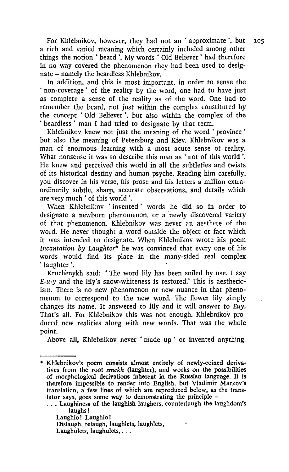For Khlebnikov, however, they had not an ' approximate', but 105 a rich and varied meaning which certainly included among other things the notion ' beard '. My words ' Old Believer' had therefore in no way covered the phenomenon they had been used to designate - namely the beardless Khlebnikov.

In addition, and this is most important, in order to sense the ' non-coverage' of the reality by the word, one had to have just as complete a sense of the reality as of the word. One had to remember the beard, not just within the complex constituted by the concept ' Old Believer', but also within the complex of the ' beardless' man I had tried to designate by that term.

Khlebnikov knew not just the meaning of the word ' province ' but also the meaning of Petersburg and Kiev. Khlebnikov was a man of enormous learning with a most acute sense of reality. What nonsense it was to describe this man as ' not of this world '. He knew and perceived this world in all the subtleties and twists of its historical destiny and human psyche. Reading him carefully, you discover in his verse, his prose and his letters a million extraordinarily subtle, sharp, accurate observations, and details which are very much ' of this world '.

When Khlebnikov ' invented' words he did so in order to designate a newborn phenomenon, or a newly discovered variety of that phenomenon. Khlebnikov was never an aesthete of the word. He never thought a word outside the object or fact which it was intended to designate. When Khlebnikov wrote his poem *Incantation by Laughter\** he was convinced that every one of his words would find its place in the many-sided real complex ' laughter'.

Kruchenykh said: 'The word lily has been soiled by use. I say *E-u-y* and the lily's snow-whiteness is restored." This is aestheticism. There is no new phenomenon or new nuance in that phenomenon to correspond to the new word. The flower lily simply changes its name. It answered to lily and it will answer to *Euy.* That's all. For Khlebnikov this was not enough. Khlebnikov produced new realities along with new words. That was the whole point.

Above all, Khlebnikov never ' made up ' or invented anything.

<sup>\*</sup> Khlebnikov's poem consists almost entirely of newly-coined deriva- tives from the root *smekh* (laughter), and works on the possibilities of morphological derivations inherent in the Russian language. It is therefore impossible to render into English, but Vladimir Markov's translation, a few lines of which are reproduced below, as the trans-<br>lator says, goes some way to demonstrating the principle  $-\dots$ . Laughiness of the laughish laughers, counterlaugh the laughdom's

laughs!

Laughio! Laughio!

Dislaugh, relaugh, laughlets, laughlets,<br>Laughulets, laughulets,...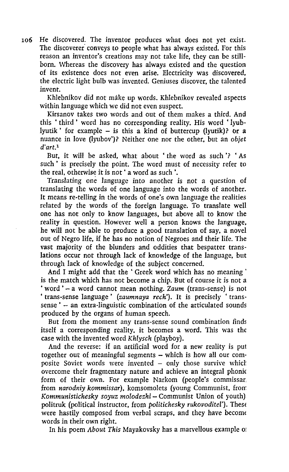106 He discovered. The inventor produces what does not yet exist. The discoverer conveys to people what has always existed. For this reason an inventor's creations may not take life, they can be stillborn. Whereas the discovery has always existed and the question of its existence does not even arise. Electricity was discovered, the electric light bulb was invented. Geniuses discover, the talented invent.

Khlebnikov did not make up words. Khlebnikov revealed aspects within language which we did not even suspect.

Kirsanov takes two words and out of them makes a third. And this ' third' word has no corresponding reality. His word ' lyublyutik' for example  $-$  is this a kind of buttercup (lyutik)? or a nuance in love (lyubov')? Neither one nor the other, but an *objet d'art.<sup>1</sup>*

But, it will be asked, what about ' the word as such'? ' As such' is precisely the point. The word must of necessity refer to the real, otherwise it is not' a word as such '.

Translating one language into another is not a question of translating the words of one language into the words of another. It means re-telling in the words of one's own language the realities related by the words of the foreign language. To translate well one has not only to know languages, but above all to know the reality in question. However well a person knows the language, he will not be able to produce a good translation of say, a novel out of Negro life, if he has no notion of Negroes and their life. The vast majority of the blunders and oddities that bespatter translations occur not through lack of knowledge of the language, but , through lack of knowledge of the subject concerned.

And I might add that the ' Greek word which has no meaning ' is the match which has not become a chip. But of course it is not a ' word ' — a word cannot mean nothing. *Zaum* (trans-sense) is not ' trans-sense language' *(zaumnaya rech').* It is precisely ' transsense  $-$  an extra-linguistic combination of the articulated sounds produced by the organs of human speech.

But from the moment any trans-sense sound combination finds itself a corresponding reality, it becomes a word. This was the case with the invented word *Khlysch* (playboy).

And the reverse: if an artificial word for a new reality is put together out of meaningful segments — which is how all our composite Soviet words were invented - only those survive which overcome their fragmentary nature and achieve an integral phonic form of their own. For example Narkom (people's commissar, from *narodniy kommissar),* komsomolets (young Communist, from *Kommunistichesky soyuz molodezhi* – Communist Union of youth). politruk (political instructor, from *politichesky rukovoditel').* These were hastily composed from verbal scraps, and they have become words in their own right.

In his poem *About This* Mayakovsky has a marvellous example of '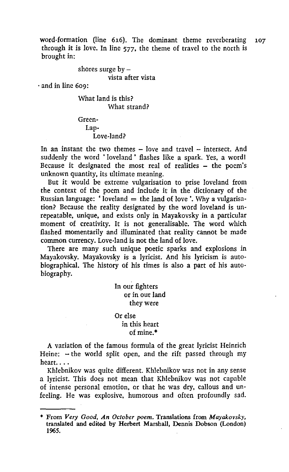word-formation (line 616). The dominant theme reverberating 107 through it is love. In line 577, the theme of travel to the north is brought in:

> shores surge by  $$ vista after vista j *\*

 $\cdot$  and in line 609:

What land is this? What strand?

Green-

Lap-Love-land?

In an instant the two themes  $-$  love and travel  $-$  intersect. And suddenly the word ' loveland' flashes like a spark. Yes, a word! Because it designated the most real of realities - the poem's unknown quantity, its ultimate meaning.

But it would be extreme vulgarisation to prise loveland from the context of the poem and include it in the dictionary of the Russian language: ' $\text{Ioveland} = \text{the land of love'}$ . Why a vulgarisation? Because the reality designated by the word loveland is unrepeatable, unique, and exists only in Mayakovsky in a particular moment of creativity. It is not generalisable. The word which flashed momentarily and illuminated that reality cannot be made common currency. Love-land is not the land of love.

There are many such unique poetic sparks and explosions in Mayakovsky. Mayakovsky is a lyricist. And his lyricism is autobiographical. The history of his times is also a part of his autobiography.

> In our fighters or in our land they were

Or else in this heart of mine.\*

A variation of the famous formula of the great lyricist Heinrich Heine:  $-$  the world split open, and the rift passed through my heart....

Khlebnikov was quite different. Khlebnikov was not in any sense a lyricist. This does not mean that Khlebnikov was not capable of intense personal emotion, or that he was dry, callous and unfeeling. He was explosive, humorous and often profoundly sad.

<sup>\*</sup> From *Very Good, An October poem.* Translations from *Mayakovsky,* translated and edited by Herbert Marshall, Dennis Dobson (London) 1965.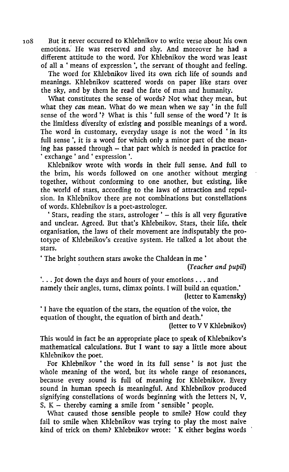108 But it never occurred to Khlebnikov to write verse about his own emotions. He was reserved and shy. And moreover he had a different attitude to the word. For Khlebnikov the word was least of all a ' means of expression', the servant of thought and feeling.

The word for Khlebnikov lived its own rich life of sounds and meanings. Khlebnikov scattered words on paper like stars over the sky, and by them he read the fate of man and humanity.

What constitutes the sense of words? Not what they mean, but what they *can* mean. What do we mean when we say ' in the full sense of the word'? What is this ' full sense of the word'? It is the limitless diversity of existing and possible meanings of a word. The word in customary, everyday usage is not the word ' in its full sense', it is a word for which only a minor part of the meaning has passed through - that part which is needed in practice for ' exchange' and ' expression'.

Khlebnikov wrote with words in their full sense. And full to the brim, his words followed on one another without merging together, without conforming to one another, but existing, like the world of stars, according to the laws of attraction and repulsion. In Khlebnikov there are not combinations but constellations of words. Khlebnikov is a poet-astrologer.

' Stars, reading the stars, astrologer ' — this is all very figurative and unclear. Agreed. But that's Khlebnikov. Stars, their life, their organisation, the laws of their movement are indisputably the prototype of Khlebnikov's creative system. He talked a lot about the stars.

' The bright southern stars awoke the Chaldean in me '

*{Teacher and pupil)*

*'...* Jot down the days and hours of your emotions .. . and namely their angles, turns, climax points. I will build an equation.' (letter to Kamensky)

' I have the equation of the stars, the equation of the voice, the equation of thought, the equation of birth and death.'

(letter to V V Khlebnikov)

This would in fact be an appropriate place to speak of Khlebnikov's mathematical calculations. But I want to say a little more about Khlebnikov the poet.

For Khlebnikov ' the word in its full sense' is not just the whole meaning of the word, but its whole range of resonances, because every sound is full of meaning for Khlebnikov. Every sound in human speech is meaningful. And Khlebnikov produced signifying constellations of words beginning with the letters N, V, S,  $K -$  thereby earning a smile from 'sensible' people.

What caused those sensible people to smile? How could they fail to smile when Khlebnikov was trying to play the most naive kind of trick on them? Khlebnikov wrote: 'K either begins words